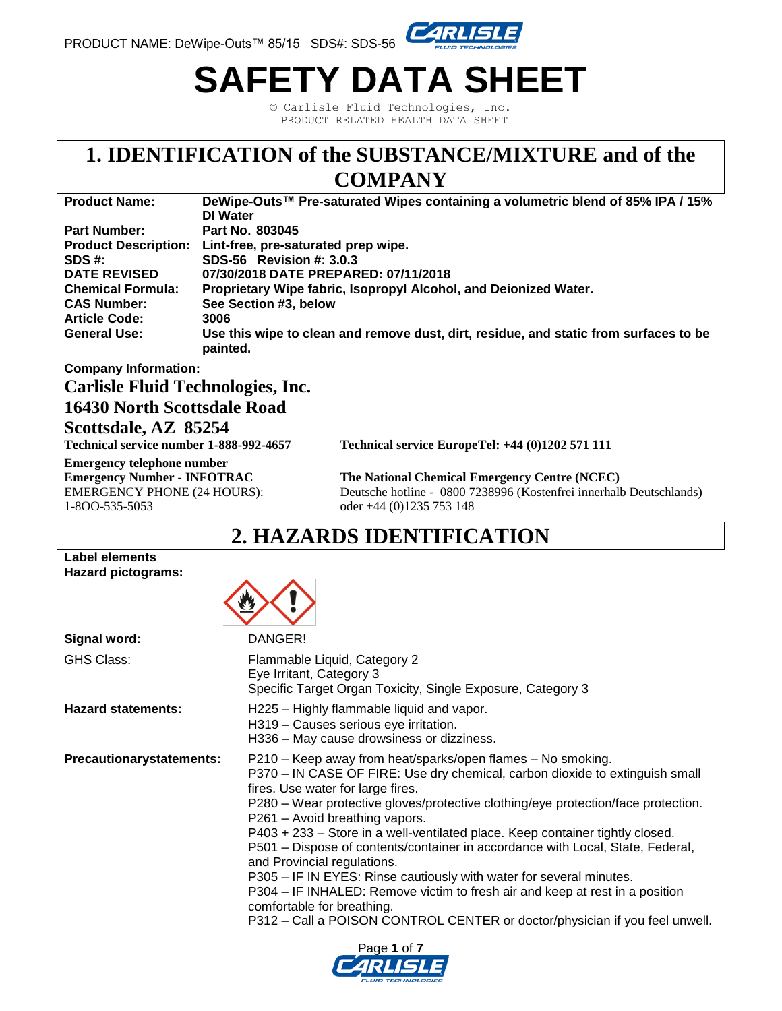

# **SAFETY DATA SHEET**

© Carlisle Fluid Technologies, Inc. PRODUCT RELATED HEALTH DATA SHEET

# **1. IDENTIFICATION of the SUBSTANCE/MIXTURE and of the**

### **COMPANY**

| <b>Product Name:</b>     | DeWipe-Outs™ Pre-saturated Wipes containing a volumetric blend of 85% IPA / 15%                   |
|--------------------------|---------------------------------------------------------------------------------------------------|
|                          | <b>DI</b> Water                                                                                   |
| <b>Part Number:</b>      | Part No. 803045                                                                                   |
|                          | Product Description: Lint-free, pre-saturated prep wipe.                                          |
| SDS #:                   | SDS-56 Revision #: 3.0.3                                                                          |
| <b>DATE REVISED</b>      | 07/30/2018 DATE PREPARED: 07/11/2018                                                              |
| <b>Chemical Formula:</b> | Proprietary Wipe fabric, Isopropyl Alcohol, and Deionized Water.                                  |
| <b>CAS Number:</b>       | See Section #3, below                                                                             |
| <b>Article Code:</b>     | 3006                                                                                              |
| <b>General Use:</b>      | Use this wipe to clean and remove dust, dirt, residue, and static from surfaces to be<br>painted. |

#### **Company Information:**

#### **Carlisle Fluid Technologies, Inc.**

#### **16430 North Scottsdale Road**

#### **Scottsdale, AZ 85254**

**Emergency telephone number** 1-8OO-535-5053 oder +44 (0)1235 753 148

**Technical service number 1-888-992-4657 Technical service EuropeTel: +44 (0)1202 571 111** 

**Emergency Number - INFOTRAC The National Chemical Emergency Centre (NCEC)** EMERGENCY PHONE (24 HOURS): Deutsche hotline - 0800 7238996 (Kostenfrei innerhalb Deutschlands)

### **2. HAZARDS IDENTIFICATION**

#### **Label elements Hazard pictograms:**



| Signal word:                    | DANGER!                                                                                                                                                                                                                                                                                                                                                                                                                                                                                                                                                                                                                                                                                                                                                                       |
|---------------------------------|-------------------------------------------------------------------------------------------------------------------------------------------------------------------------------------------------------------------------------------------------------------------------------------------------------------------------------------------------------------------------------------------------------------------------------------------------------------------------------------------------------------------------------------------------------------------------------------------------------------------------------------------------------------------------------------------------------------------------------------------------------------------------------|
| <b>GHS Class:</b>               | Flammable Liquid, Category 2<br>Eye Irritant, Category 3<br>Specific Target Organ Toxicity, Single Exposure, Category 3                                                                                                                                                                                                                                                                                                                                                                                                                                                                                                                                                                                                                                                       |
| <b>Hazard statements:</b>       | H225 - Highly flammable liquid and vapor.<br>H319 - Causes serious eye irritation.<br>H336 – May cause drowsiness or dizziness.                                                                                                                                                                                                                                                                                                                                                                                                                                                                                                                                                                                                                                               |
| <b>Precautionarystatements:</b> | P210 – Keep away from heat/sparks/open flames – No smoking.<br>P370 - IN CASE OF FIRE: Use dry chemical, carbon dioxide to extinguish small<br>fires. Use water for large fires.<br>P280 – Wear protective gloves/protective clothing/eye protection/face protection.<br>P261 - Avoid breathing vapors.<br>P403 + 233 - Store in a well-ventilated place. Keep container tightly closed.<br>P501 - Dispose of contents/container in accordance with Local, State, Federal,<br>and Provincial regulations.<br>P305 – IF IN EYES: Rinse cautiously with water for several minutes.<br>P304 - IF INHALED: Remove victim to fresh air and keep at rest in a position<br>comfortable for breathing.<br>P312 - Call a POISON CONTROL CENTER or doctor/physician if you feel unwell. |

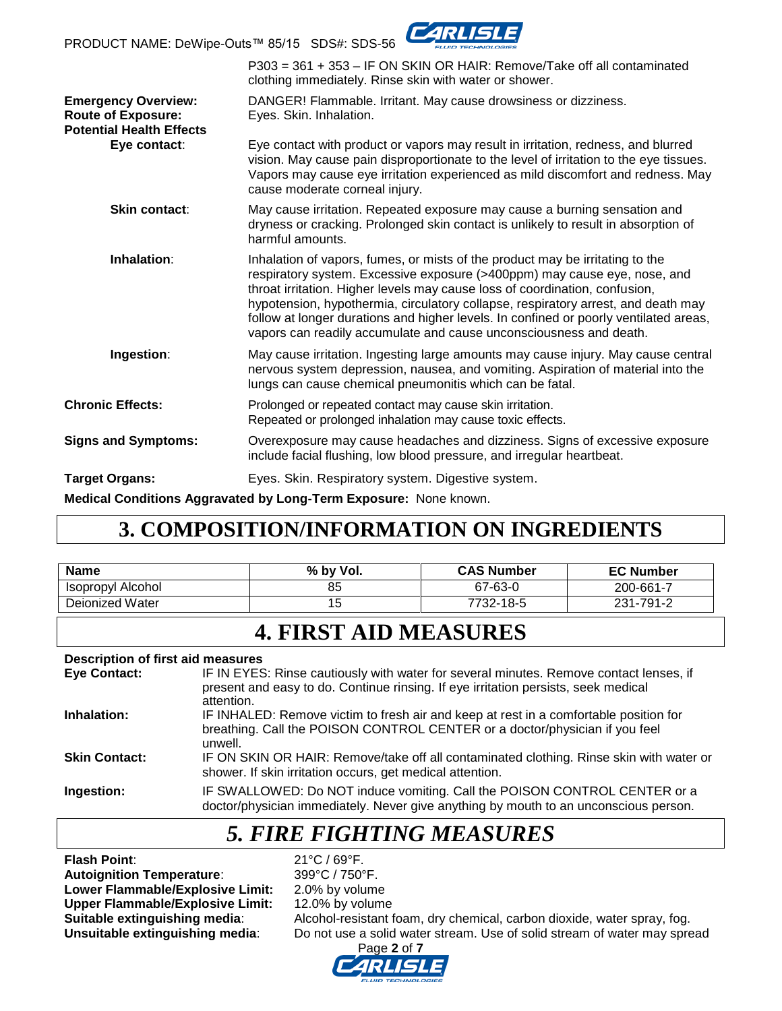PRODUCT NAME: DeWipe-Outs™ 85/15 SDS#: SDS-56



|                                                                                            | P303 = 361 + 353 - IF ON SKIN OR HAIR: Remove/Take off all contaminated<br>clothing immediately. Rinse skin with water or shower.                                                                                                                                                                                                                                                                                                                                                             |
|--------------------------------------------------------------------------------------------|-----------------------------------------------------------------------------------------------------------------------------------------------------------------------------------------------------------------------------------------------------------------------------------------------------------------------------------------------------------------------------------------------------------------------------------------------------------------------------------------------|
| <b>Emergency Overview:</b><br><b>Route of Exposure:</b><br><b>Potential Health Effects</b> | DANGER! Flammable. Irritant. May cause drowsiness or dizziness.<br>Eyes. Skin. Inhalation.                                                                                                                                                                                                                                                                                                                                                                                                    |
| Eye contact:                                                                               | Eye contact with product or vapors may result in irritation, redness, and blurred<br>vision. May cause pain disproportionate to the level of irritation to the eye tissues.<br>Vapors may cause eye irritation experienced as mild discomfort and redness. May<br>cause moderate corneal injury.                                                                                                                                                                                              |
| <b>Skin contact:</b>                                                                       | May cause irritation. Repeated exposure may cause a burning sensation and<br>dryness or cracking. Prolonged skin contact is unlikely to result in absorption of<br>harmful amounts.                                                                                                                                                                                                                                                                                                           |
| Inhalation:                                                                                | Inhalation of vapors, fumes, or mists of the product may be irritating to the<br>respiratory system. Excessive exposure (>400ppm) may cause eye, nose, and<br>throat irritation. Higher levels may cause loss of coordination, confusion,<br>hypotension, hypothermia, circulatory collapse, respiratory arrest, and death may<br>follow at longer durations and higher levels. In confined or poorly ventilated areas,<br>vapors can readily accumulate and cause unconsciousness and death. |
| Ingestion:                                                                                 | May cause irritation. Ingesting large amounts may cause injury. May cause central<br>nervous system depression, nausea, and vomiting. Aspiration of material into the<br>lungs can cause chemical pneumonitis which can be fatal.                                                                                                                                                                                                                                                             |
| <b>Chronic Effects:</b>                                                                    | Prolonged or repeated contact may cause skin irritation.<br>Repeated or prolonged inhalation may cause toxic effects.                                                                                                                                                                                                                                                                                                                                                                         |
| <b>Signs and Symptoms:</b>                                                                 | Overexposure may cause headaches and dizziness. Signs of excessive exposure<br>include facial flushing, low blood pressure, and irregular heartbeat.                                                                                                                                                                                                                                                                                                                                          |
| <b>Target Organs:</b>                                                                      | Eyes. Skin. Respiratory system. Digestive system.                                                                                                                                                                                                                                                                                                                                                                                                                                             |
|                                                                                            | Medical Conditions Aggravated by Long-Term Exposure: None known.                                                                                                                                                                                                                                                                                                                                                                                                                              |

## **3. COMPOSITION/INFORMATION ON INGREDIENTS**

| <b>Name</b>       | % by Vol. | <b>CAS Number</b> | <b>EC Number</b> |
|-------------------|-----------|-------------------|------------------|
| Isopropyl Alcohol | 85        | 67-63-0           | 200-661-7        |
| Deionized Water   |           | 7732-18-5         | 231-791-2        |

### **4. FIRST AID MEASURES**

#### **Description of first aid measures**

| <b>Eye Contact:</b>  | IF IN EYES: Rinse cautiously with water for several minutes. Remove contact lenses, if<br>present and easy to do. Continue rinsing. If eye irritation persists, seek medical<br>attention. |
|----------------------|--------------------------------------------------------------------------------------------------------------------------------------------------------------------------------------------|
| Inhalation:          | IF INHALED: Remove victim to fresh air and keep at rest in a comfortable position for<br>breathing. Call the POISON CONTROL CENTER or a doctor/physician if you feel<br>unwell.            |
| <b>Skin Contact:</b> | IF ON SKIN OR HAIR: Remove/take off all contaminated clothing. Rinse skin with water or<br>shower. If skin irritation occurs, get medical attention.                                       |
| Ingestion:           | IF SWALLOWED: Do NOT induce vomiting. Call the POISON CONTROL CENTER or a<br>doctor/physician immediately. Never give anything by mouth to an unconscious person.                          |

### *5. FIRE FIGHTING MEASURES*

**Flash Point:** 21°C / 69°F.<br> **Autoignition Temperature:** 299°C / 750°F. **Autoignition Temperature:** Lower Flammable/Explosive Limit: 2.0% by volume **Upper Flammable/Explosive Limit:** 12.0% by volume

**Suitable extinguishing media:** Alcohol-resistant foam, dry chemical, carbon dioxide, water spray, fog.<br>**Unsuitable extinguishing media**: Do not use a solid water stream. Use of solid stream of water may spre Do not use a solid water stream. Use of solid stream of water may spread

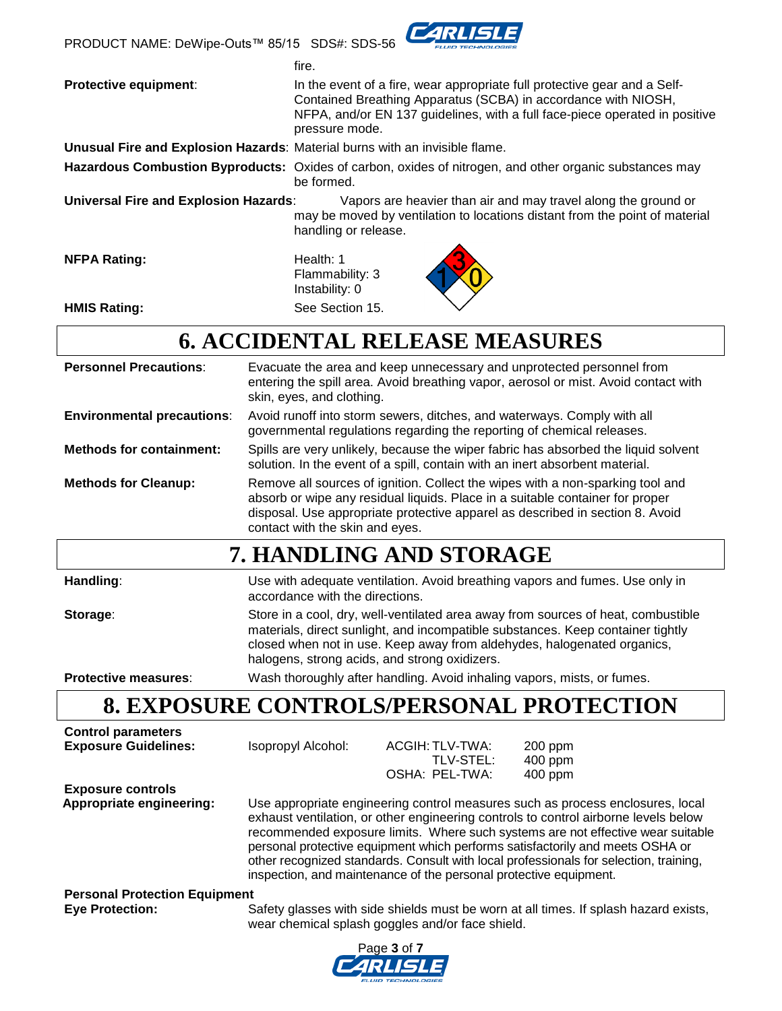PRODUCT NAME: DeWipe-Outs™ 85/15 SDS#: SDS-56



fire. **Protective equipment:** In the event of a fire, wear appropriate full protective gear and a Self-Contained Breathing Apparatus (SCBA) in accordance with NIOSH, NFPA, and/or EN 137 guidelines, with a full face-piece operated in positive pressure mode. **Unusual Fire and Explosion Hazards**: Material burns with an invisible flame. **Hazardous Combustion Byproducts:** Oxides of carbon, oxides of nitrogen, and other organic substances may be formed. **Universal Fire and Explosion Hazards**: Vapors are heavier than air and may travel along the ground or may be moved by ventilation to locations distant from the point of material handling or release. **NFPA Rating:** Health: 1 Flammability: 3

**HMIS Rating:** See Section 15.

# **6. ACCIDENTAL RELEASE MEASURES**

Instability: 0

| <b>Personnel Precautions:</b>     | Evacuate the area and keep unnecessary and unprotected personnel from<br>entering the spill area. Avoid breathing vapor, aerosol or mist. Avoid contact with<br>skin, eyes, and clothing.                                                                                           |
|-----------------------------------|-------------------------------------------------------------------------------------------------------------------------------------------------------------------------------------------------------------------------------------------------------------------------------------|
| <b>Environmental precautions:</b> | Avoid runoff into storm sewers, ditches, and waterways. Comply with all<br>governmental regulations regarding the reporting of chemical releases.                                                                                                                                   |
| <b>Methods for containment:</b>   | Spills are very unlikely, because the wiper fabric has absorbed the liquid solvent<br>solution. In the event of a spill, contain with an inert absorbent material.                                                                                                                  |
| <b>Methods for Cleanup:</b>       | Remove all sources of ignition. Collect the wipes with a non-sparking tool and<br>absorb or wipe any residual liquids. Place in a suitable container for proper<br>disposal. Use appropriate protective apparel as described in section 8. Avoid<br>contact with the skin and eyes. |
|                                   | 7. HANDLING AND STORAGE                                                                                                                                                                                                                                                             |
| Handling:                         | Use with adequate ventilation. Avoid breathing vapors and fumes. Use only in<br>accordance with the directions.                                                                                                                                                                     |
| Storage:                          | Store in a cool, dry, well-ventilated area away from sources of heat, combustible<br>materials, direct sunlight, and incompatible substances. Keep container tightly<br>closed when not in use. Keep away from aldehydes, halogenated organics,                                     |

halogens, strong acids, and strong oxidizers.

**Protective measures**: Wash thoroughly after handling. Avoid inhaling vapors, mists, or fumes.

### **8. EXPOSURE CONTROLS/PERSONAL PROTECTION**

| <b>Control parameters</b>            |                                                                                                                                                                                                                                                                                                                                                                                                                                                                                                         |                                                  |                                                                                      |
|--------------------------------------|---------------------------------------------------------------------------------------------------------------------------------------------------------------------------------------------------------------------------------------------------------------------------------------------------------------------------------------------------------------------------------------------------------------------------------------------------------------------------------------------------------|--------------------------------------------------|--------------------------------------------------------------------------------------|
| <b>Exposure Guidelines:</b>          | Isopropyl Alcohol:                                                                                                                                                                                                                                                                                                                                                                                                                                                                                      | ACGIH: TLV-TWA:                                  | $200$ ppm                                                                            |
|                                      |                                                                                                                                                                                                                                                                                                                                                                                                                                                                                                         | TLV-STEL:                                        | $400$ ppm                                                                            |
|                                      |                                                                                                                                                                                                                                                                                                                                                                                                                                                                                                         | OSHA: PEL-TWA:                                   | 400 ppm                                                                              |
| <b>Exposure controls</b>             |                                                                                                                                                                                                                                                                                                                                                                                                                                                                                                         |                                                  |                                                                                      |
| Appropriate engineering:             | Use appropriate engineering control measures such as process enclosures, local<br>exhaust ventilation, or other engineering controls to control airborne levels below<br>recommended exposure limits. Where such systems are not effective wear suitable<br>personal protective equipment which performs satisfactorily and meets OSHA or<br>other recognized standards. Consult with local professionals for selection, training,<br>inspection, and maintenance of the personal protective equipment. |                                                  |                                                                                      |
| <b>Personal Protection Equipment</b> |                                                                                                                                                                                                                                                                                                                                                                                                                                                                                                         |                                                  |                                                                                      |
| <b>Eye Protection:</b>               |                                                                                                                                                                                                                                                                                                                                                                                                                                                                                                         | wear chemical splash goggles and/or face shield. | Safety glasses with side shields must be worn at all times. If splash hazard exists, |

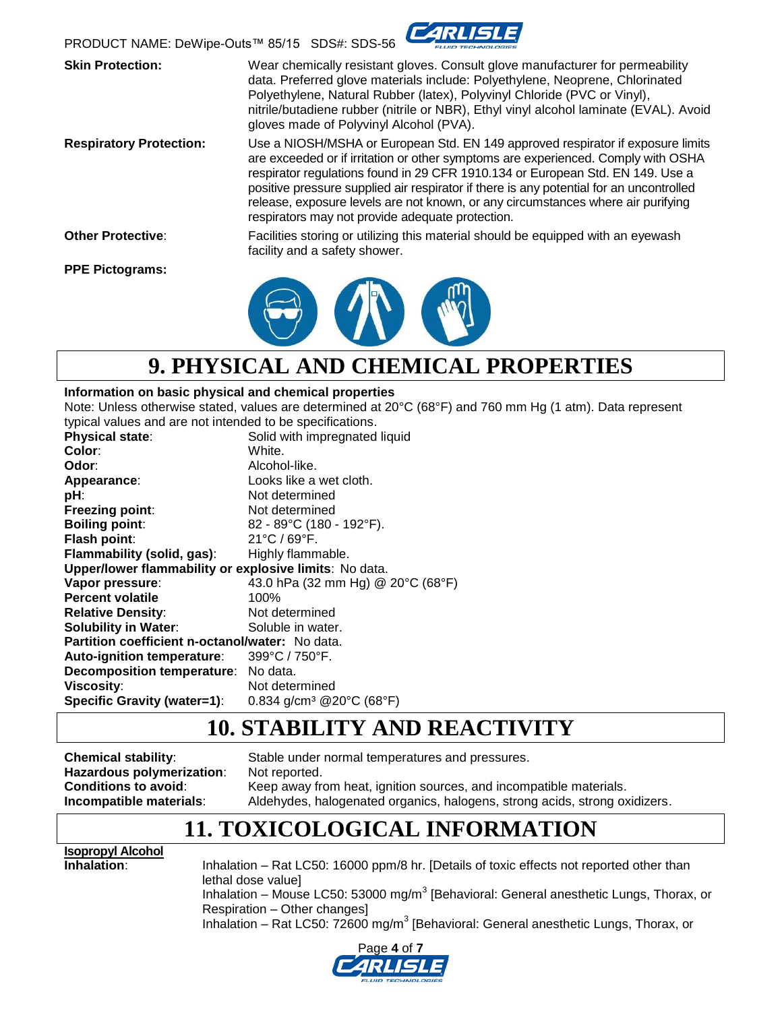

**Skin Protection:** Wear chemically resistant gloves. Consult glove manufacturer for permeability data. Preferred glove materials include: Polyethylene, Neoprene, Chlorinated Polyethylene, Natural Rubber (latex), Polyvinyl Chloride (PVC or Vinyl), nitrile/butadiene rubber (nitrile or NBR), Ethyl vinyl alcohol laminate (EVAL). Avoid gloves made of Polyvinyl Alcohol (PVA). **Respiratory Protection:** Use a NIOSH/MSHA or European Std. EN 149 approved respirator if exposure limits are exceeded or if irritation or other symptoms are experienced. Comply with OSHA respirator regulations found in 29 CFR 1910.134 or European Std. EN 149. Use a positive pressure supplied air respirator if there is any potential for an uncontrolled release, exposure levels are not known, or any circumstances where air purifying respirators may not provide adequate protection. **Other Protective**: Facilities storing or utilizing this material should be equipped with an eyewash facility and a safety shower. **PPE Pictograms:**



# **9. PHYSICAL AND CHEMICAL PROPERTIES**

#### **Information on basic physical and chemical properties**

Note: Unless otherwise stated, values are determined at 20°C (68°F) and 760 mm Hg (1 atm). Data represent typical values and are not intended to be specifications.

| <b>Physical state:</b>                                 | Solid with impregnated liquid        |
|--------------------------------------------------------|--------------------------------------|
| Color:                                                 | White.                               |
| Odor:                                                  | Alcohol-like.                        |
| Appearance:                                            | Looks like a wet cloth.              |
| pH:                                                    | Not determined                       |
| Freezing point:                                        | Not determined                       |
| <b>Boiling point:</b>                                  | 82 - 89°C (180 - 192°F).             |
| Flash point:                                           | $21^{\circ}$ C / 69 $^{\circ}$ F.    |
| <b>Flammability (solid, gas):</b>                      | Highly flammable.                    |
| Upper/lower flammability or explosive limits: No data. |                                      |
| Vapor pressure:                                        | 43.0 hPa (32 mm Hg) @ 20°C (68°F)    |
| <b>Percent volatile</b>                                | 100%                                 |
| <b>Relative Density:</b>                               | Not determined                       |
| <b>Solubility in Water:</b>                            | Soluble in water.                    |
| Partition coefficient n-octanol/water: No data.        |                                      |
| Auto-ignition temperature:                             | 399°C / 750°F.                       |
| Decomposition temperature: No data.                    |                                      |
| <b>Viscosity:</b>                                      | Not determined                       |
| <b>Specific Gravity (water=1):</b>                     | 0.834 g/cm <sup>3</sup> @20°C (68°F) |
|                                                        |                                      |

### **10. STABILITY AND REACTIVITY**

**Chemical stability**: Stable under normal temperatures and pressures. **Hazardous polymerization:** Not reported. **Conditions to avoid:** Keep away from heat, ignition sources, and incompatible materials. **Incompatible materials**: Aldehydes, halogenated organics, halogens, strong acids, strong oxidizers.

### **11. TOXICOLOGICAL INFORMATION**

**Isopropyl Alcohol**

**Inhalation:** Inhalation – Rat LC50: 16000 ppm/8 hr. [Details of toxic effects not reported other than lethal dose value] Inhalation – Mouse LC50: 53000 mg/m<sup>3</sup> [Behavioral: General anesthetic Lungs, Thorax, or Respiration – Other changes] Inhalation - Rat LC50: 72600 mg/m<sup>3</sup> [Behavioral: General anesthetic Lungs, Thorax, or

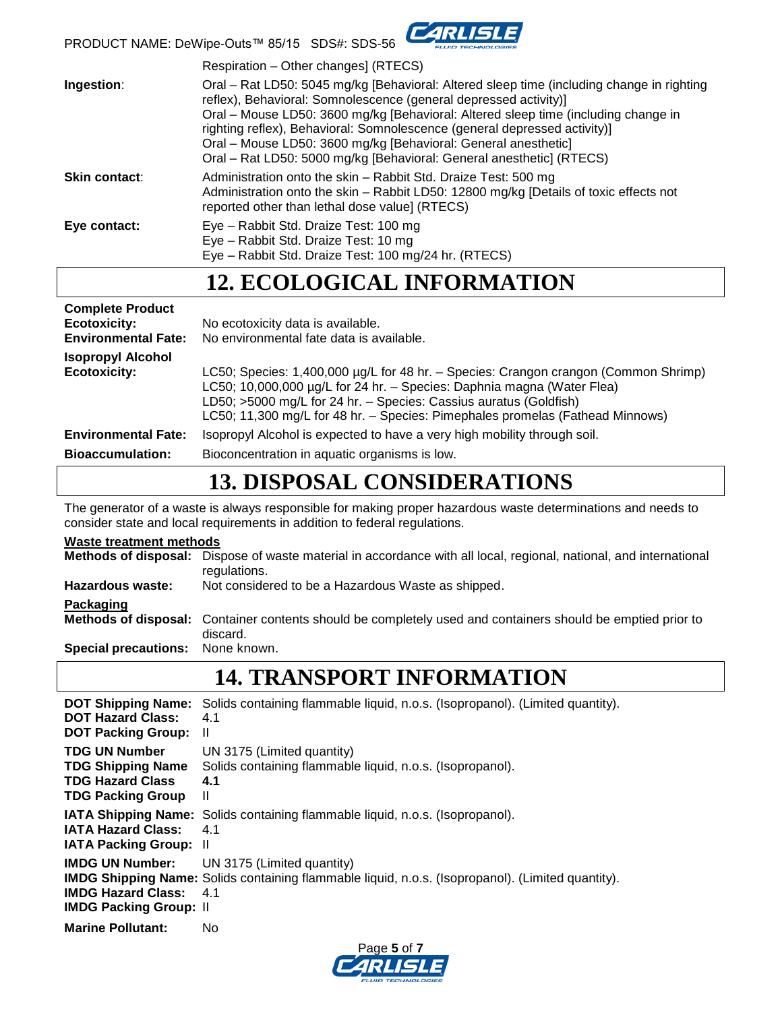

PRODUCT NAME: DeWipe-Outs™ 85/15 SDS#: SDS-56

|                      | Respiration - Other changes] (RTECS)                                                                                                                                                                                                                                                                                                                                                                                                                                       |
|----------------------|----------------------------------------------------------------------------------------------------------------------------------------------------------------------------------------------------------------------------------------------------------------------------------------------------------------------------------------------------------------------------------------------------------------------------------------------------------------------------|
| Ingestion:           | Oral – Rat LD50: 5045 mg/kg [Behavioral: Altered sleep time (including change in righting<br>reflex), Behavioral: Somnolescence (general depressed activity)]<br>Oral – Mouse LD50: 3600 mg/kg [Behavioral: Altered sleep time (including change in<br>righting reflex), Behavioral: Somnolescence (general depressed activity)]<br>Oral – Mouse LD50: 3600 mg/kg [Behavioral: General anesthetic]<br>Oral – Rat LD50: 5000 mg/kg [Behavioral: General anesthetic] (RTECS) |
| <b>Skin contact:</b> | Administration onto the skin - Rabbit Std. Draize Test: 500 mg<br>Administration onto the skin – Rabbit LD50: 12800 mg/kg [Details of toxic effects not<br>reported other than lethal dose value] (RTECS)                                                                                                                                                                                                                                                                  |
| Eye contact:         | Eye – Rabbit Std. Draize Test: 100 mg<br>Eye - Rabbit Std. Draize Test: 10 mg<br>Eye - Rabbit Std. Draize Test: 100 mg/24 hr. (RTECS)                                                                                                                                                                                                                                                                                                                                      |

# **12. ECOLOGICAL INFORMATION**

| <b>Complete Product</b><br><b>Ecotoxicity:</b><br><b>Environmental Fate:</b> | No ecotoxicity data is available.<br>No environmental fate data is available.                                                                                                                                                                                                                                       |
|------------------------------------------------------------------------------|---------------------------------------------------------------------------------------------------------------------------------------------------------------------------------------------------------------------------------------------------------------------------------------------------------------------|
| <b>Isopropyl Alcohol</b><br><b>Ecotoxicity:</b>                              | LC50; Species: 1,400,000 µg/L for 48 hr. - Species: Crangon crangon (Common Shrimp)<br>LC50; 10,000,000 µg/L for 24 hr. - Species: Daphnia magna (Water Flea)<br>LD50; >5000 mg/L for 24 hr. - Species: Cassius auratus (Goldfish)<br>LC50; 11,300 mg/L for 48 hr. - Species: Pimephales promelas (Fathead Minnows) |
| <b>Environmental Fate:</b>                                                   | Isopropyl Alcohol is expected to have a very high mobility through soil.                                                                                                                                                                                                                                            |
| <b>Bioaccumulation:</b>                                                      | Bioconcentration in aquatic organisms is low.                                                                                                                                                                                                                                                                       |
|                                                                              |                                                                                                                                                                                                                                                                                                                     |

# **13. DISPOSAL CONSIDERATIONS**

The generator of a waste is always responsible for making proper hazardous waste determinations and needs to consider state and local requirements in addition to federal regulations.

| <b>Waste treatment methods</b>   |                                                                                                                                    |  |
|----------------------------------|------------------------------------------------------------------------------------------------------------------------------------|--|
|                                  | Methods of disposal: Dispose of waste material in accordance with all local, regional, national, and international<br>regulations. |  |
| Hazardous waste:                 | Not considered to be a Hazardous Waste as shipped.                                                                                 |  |
| Packaging                        |                                                                                                                                    |  |
|                                  | Methods of disposal: Container contents should be completely used and containers should be emptied prior to<br>discard.            |  |
| Special precautions: None known. |                                                                                                                                    |  |

# **14. TRANSPORT INFORMATION**

| <b>DOT Shipping Name:</b>                                  | Solids containing flammable liquid, n.o.s. (Isopropanol). (Limited quantity).                                                                                         |
|------------------------------------------------------------|-----------------------------------------------------------------------------------------------------------------------------------------------------------------------|
| <b>DOT Hazard Class:</b>                                   | 4.1                                                                                                                                                                   |
| <b>DOT Packing Group:</b>                                  | Ш                                                                                                                                                                     |
| <b>TDG UN Number</b>                                       | UN 3175 (Limited quantity)                                                                                                                                            |
| <b>TDG Shipping Name</b>                                   | Solids containing flammable liquid, n.o.s. (Isopropanol).                                                                                                             |
| <b>TDG Hazard Class</b>                                    | 4.1                                                                                                                                                                   |
| <b>TDG Packing Group</b>                                   | Ш                                                                                                                                                                     |
| <b>IATA Hazard Class:</b>                                  | <b>IATA Shipping Name:</b> Solids containing flammable liquid, n.o.s. (Isopropanol).                                                                                  |
| <b>IATA Packing Group: II</b>                              | 4.1                                                                                                                                                                   |
| <b>IMDG Hazard Class:</b><br><b>IMDG Packing Group: II</b> | <b>IMDG UN Number:</b> UN 3175 (Limited quantity)<br><b>IMDG Shipping Name:</b> Solids containing flammable liquid, n.o.s. (Isopropanol). (Limited quantity).<br>-4.1 |
| <b>Marine Pollutant:</b>                                   | No.                                                                                                                                                                   |

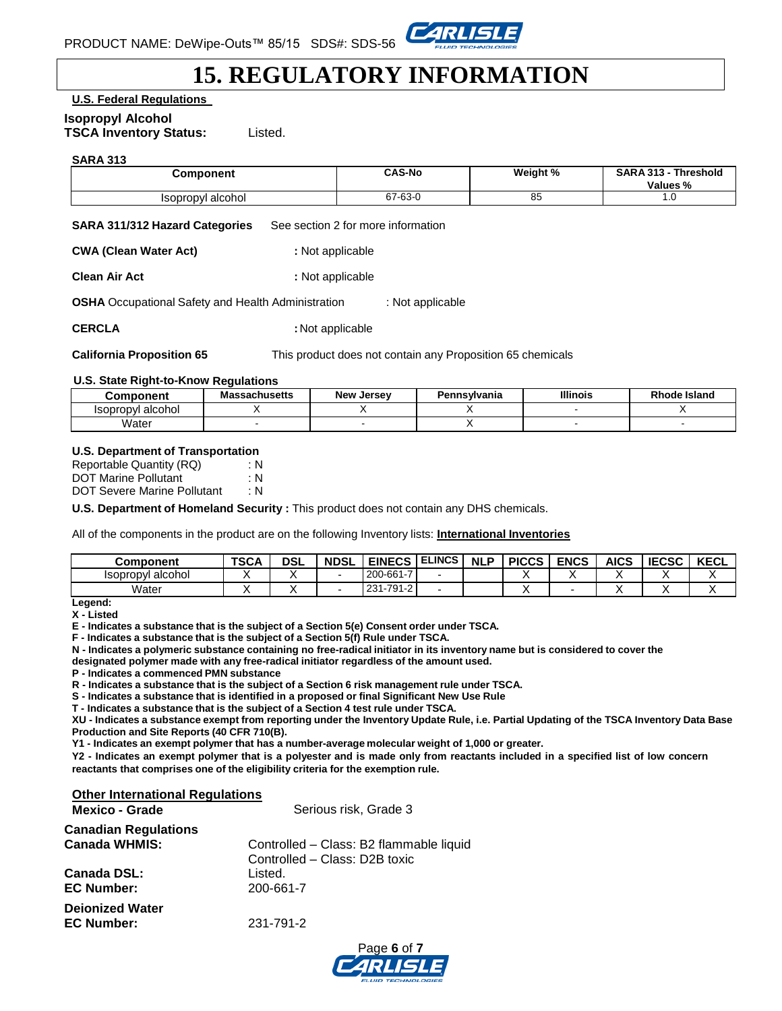

## **15. REGULATORY INFORMATION**

**U.S. Federal Regulations**

#### **Isopropyl Alcohol**

**TSCA Inventory Status:** Listed.

#### **SARA 313**

| <b>Component</b>  | CAS-No  | Weight % | <b>SARA 313 -</b><br><b>Threshold</b><br>Values % |
|-------------------|---------|----------|---------------------------------------------------|
| Isopropyl alcohol | 67-63-0 | uu       | $\cdot \cdot$                                     |

**SARA 311/312 Hazard Categories** See section 2 for more information

**CWA (Clean Water Act) :** Not applicable

**Clean Air Act : 1999 : Not applicable** 

**OSHA** Occupational Safety and Health Administration : Not applicable

**CERCLA** : Not applicable

**California Proposition 65** This product does not contain any Proposition 65 chemicals

#### **U.S. State Right-to-Know Regulations**

| Component                | Massachusetts | <b>New Jersey</b> | Pennsvlvania | <b>Illinois</b> | <b>Rhode Island</b> |
|--------------------------|---------------|-------------------|--------------|-----------------|---------------------|
| <b>Isopropyl alcohol</b> |               |                   |              |                 |                     |
| Water                    |               |                   |              |                 |                     |

#### **U.S. Department of Transportation**

| Reportable Quantity (RQ)    | : N |
|-----------------------------|-----|
| <b>DOT Marine Pollutant</b> | : N |
| DOT Severe Marine Pollutant | ∶N. |

**U.S. Department of Homeland Security :** This product does not contain any DHS chemicals.

All of the components in the product are on the following Inventory lists: **International Inventories**

| Component         | <b>TSCA</b> | <b>DSL</b> | <b>NDSL</b> | <b>EINECS</b> | <b>ELINCS</b> | <b>NLP</b> | <b>PICCS</b> | <b>ENCS</b> | AICS | <b>IECSC</b> | <b>KECL</b> |
|-------------------|-------------|------------|-------------|---------------|---------------|------------|--------------|-------------|------|--------------|-------------|
| Isopropyl alcohol |             |            |             | 200-661-7     |               |            |              |             |      |              |             |
| Water             |             |            |             | 231-791-2     |               |            |              |             |      |              |             |

**Legend: X - Listed**

**E - Indicates a substance that is the subject of a Section 5(e) Consent order under TSCA.** 

**F - Indicates a substance that is the subject of a Section 5(f) Rule under TSCA.**

**N - Indicates a polymeric substance containing no free-radical initiator in its inventory name but is considered to cover the**

**designated polymer made with any free-radical initiator regardless of the amount used.**

**P - Indicates a commenced PMN substance**

**R - Indicates a substance that is the subject of a Section 6 risk management rule under TSCA.** 

**S - Indicates a substance that is identified in a proposed or final Significant New Use Rule**

**T - Indicates a substance that is the subject of a Section 4 test rule under TSCA.**

XU - Indicates a substance exempt from reporting under the Inventory Update Rule, i.e. Partial Updating of the TSCA Inventory Data Base **Production and Site Reports (40 CFR 710(B).**

**Y1 - Indicates an exempt polymer that has a number-average molecular weight of 1,000 or greater.**

Y2 - Indicates an exempt polymer that is a polyester and is made only from reactants included in a specified list of low concern **reactants that comprises one of the eligibility criteria for the exemption rule.**

#### **Other International Regulations**

| <b>Mexico - Grade</b>       | Serious risk, Grade 3                   |  |  |  |  |
|-----------------------------|-----------------------------------------|--|--|--|--|
| <b>Canadian Regulations</b> |                                         |  |  |  |  |
| <b>Canada WHMIS:</b>        | Controlled - Class: B2 flammable liquid |  |  |  |  |
|                             | Controlled - Class: D2B toxic           |  |  |  |  |
| Canada DSL:                 | Listed.                                 |  |  |  |  |
| <b>EC Number:</b>           | 200-661-7                               |  |  |  |  |
| <b>Dejonized Water</b>      |                                         |  |  |  |  |
| <b>EC Number:</b>           | 231-791-2                               |  |  |  |  |